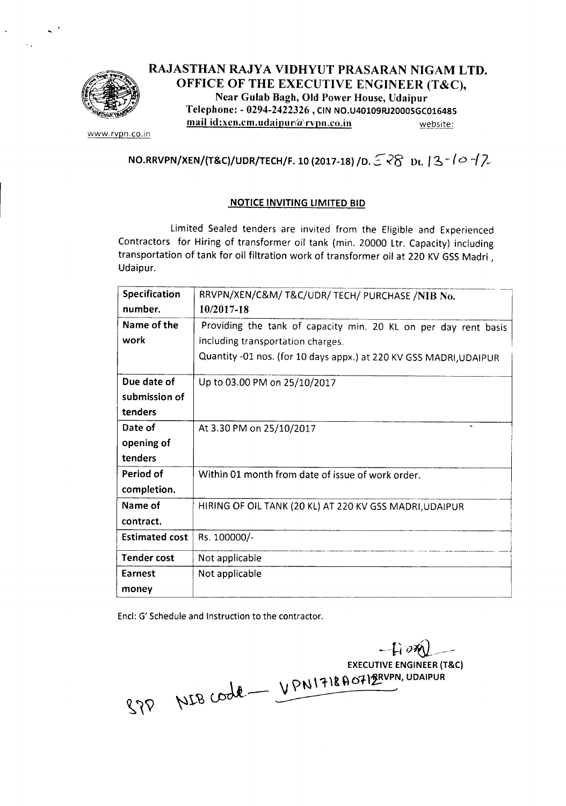

# RAJASTHAN RAJYA VIDHYUT PRASARAN NIGAM LTD. OFFICE OF THE EXECUTIVE ENGINEER (T&C), Near Gulab Bagh, Old Power House, Udaipur Telephone: - 0294-2422326, CIN NO.U40109RJ2000SGC016485  $\text{mail id:} x$ en.cm.udaipur@rvpn.co.in website:

www.rvpn.co.in

# NO.RRVPN/XEN/(T&C)/UDR/TECH/F. 10 (2017-18) /D.  $528$  dt.  $13-10-12$

#### **NOTICE INVITING LIMITED BID**

Limited Sealed tenders are invited from the Eligible and Experienced Contractors for Hiring of transformer oil tank (min. 20000 Ltr. Capacity) including transportation of tank for oil filtration work of transformer oil at 220 KV GSS Madri, Udaipur.

| Specification         | RRVPN/XEN/C&M/ T&C/UDR/ TECH/ PURCHASE /NIB No.                    |
|-----------------------|--------------------------------------------------------------------|
| number.               | 10/2017-18                                                         |
| Name of the           | Providing the tank of capacity min. 20 KL on per day rent basis    |
| work                  | including transportation charges.                                  |
|                       | Quantity -01 nos. (for 10 days appx.) at 220 KV GSS MADRI, UDAIPUR |
| Due date of           | Up to 03.00 PM on 25/10/2017                                       |
| submission of         |                                                                    |
| tenders               |                                                                    |
| Date of               | At 3.30 PM on 25/10/2017                                           |
| opening of            |                                                                    |
| tenders               |                                                                    |
| Period of             | Within 01 month from date of issue of work order.                  |
| completion.           |                                                                    |
| Name of               | HIRING OF OIL TANK (20 KL) AT 220 KV GSS MADRI, UDAIPUR            |
| contract.             |                                                                    |
| <b>Estimated cost</b> | Rs. 100000/-                                                       |
| <b>Tender cost</b>    | Not applicable                                                     |
| Earnest               | Not applicable                                                     |
| money                 |                                                                    |

End: G' Schedule and Instruction to the contractor.

--fl *i)~\_~ \_\_ -* **EXECUTIVE ENGINEER (T&C)** *\J* \>N \ "tit ~Of.\~VPN, UDAIPUR  $M$ r $B$   $C$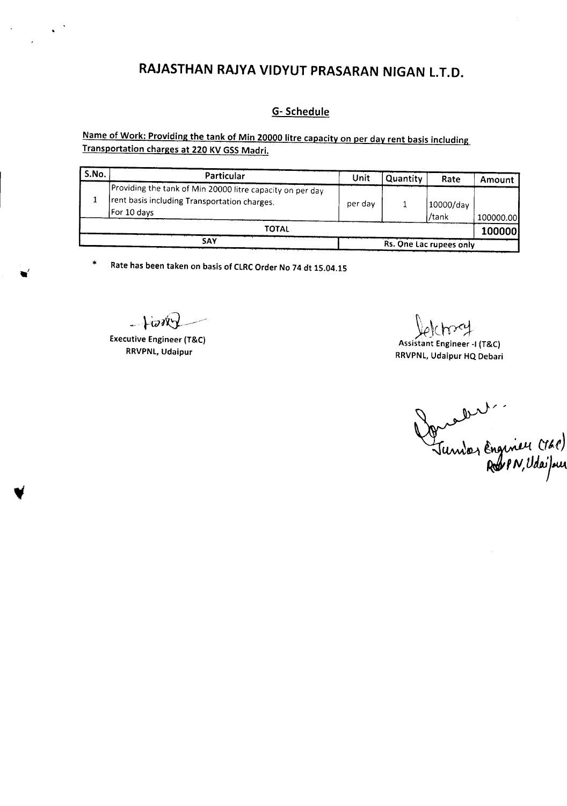# **RAJASTHAN RAJYA VIDYUT PRASARAN NIGAN** l.T.D.

#### G- Schedule

Name of Work: Providing the tank of Min 20000 litre capacity on per day rent basis including Transportation charges at 220 KV GSS Madri.

| S.No.                          | Particular                                                                                                               | Unit | Quantity | Rate               | Amount    |
|--------------------------------|--------------------------------------------------------------------------------------------------------------------------|------|----------|--------------------|-----------|
|                                | Providing the tank of Min 20000 litre capacity on per day<br>rent basis including Transportation charges.<br>For 10 days |      |          | 10000/day<br>/tank | 100000.00 |
| ΤΟΤΑL                          |                                                                                                                          |      |          |                    | 100000    |
| SAY<br>Rs. One Lac rupees only |                                                                                                                          |      |          |                    |           |

\* Ratehas been taken on basisof CLRCOrder No 74 dt 15.04.15

 $-1000$ 

Executive Engineer (T&C) RRVPNL, Udaipur

 $\sim$ 

e Charley<br>Assistant Engineer -I (T&C)

RRVPNL, Udaipur HQ Debari

Damalles<br>Jumber Engineu (161)<br>Robert, Udaijour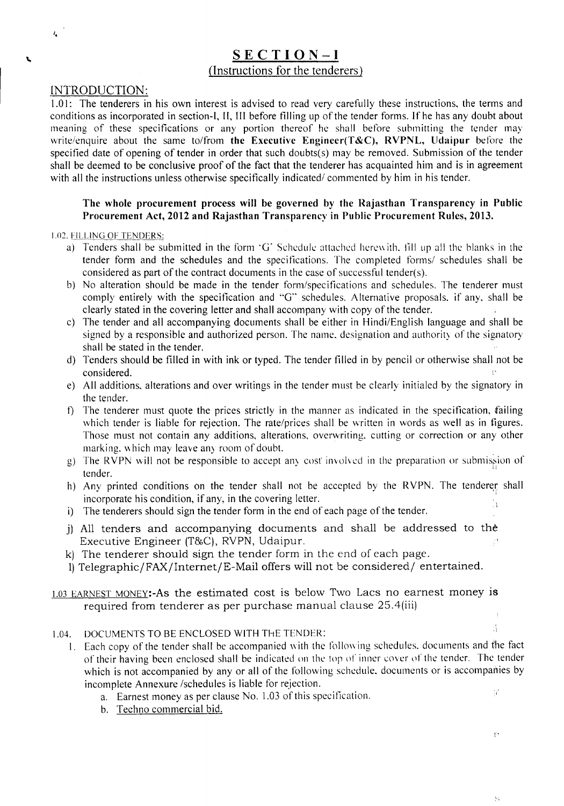# SECTION-I (Instructions for the tenderers)

#### INTRODUCTION:

 $t_{\rm a}$ 

٦

1.01: The tenderers in his own interest is advised to read very carefully these instructions, the terms and conditions as incorporated in section-I, II, III before filling up of the tender forms. If he has any doubt about meaning of these specifications or any portion thereof he shall before submitting the tender may write/enquire about the same to/from the Executive Engineer(T&C), RVPNL, Udaipur before the specified date of opening of tender in order that such doubts(s) may be removed. Submission of the tender shall be deemed to be conclusive proof of the fact that the tenderer has acquainted him and is in agreement with all the instructions unless otherwise specifically indicated/ commented by him in his tender.

#### The whole procurement process will be governed by the Rajasthan Transparency in Public Procurement Act, 2012 and Rajasthan Transparency in Public Procurement Rules, 2013.

#### 1.02. FILLING OF TENDERS:

- a) Tenders shall be submitted in the form 'G' Schedule attached herewith. fill up all the blanks in the tender form and the schedules and the specifications. The completed forms/ schedules shall be considered as part of the contract documents in the case of successful tender(s).
- b) No alteration should be made in the tender form/specifications and schedules. The tenderer must comply entirely with the specification and "G" schedules. Alternative proposals, if any, shall be clearly stated in the covering letter and shall accompany with copy of the tender.
- c) The tender and all accompanying documents shall be either in Hindi/English language and shall be signed by a responsible and authorized person. The name. designation and authority of the signatory shall be stated in the tender.
- d) Tenders should be filled in with ink or typed. The tender filled in by pencil or otherwise shall not be  $\blacksquare$ considered.  $\blacksquare$
- e) All additions. alterations and over writings in the tender must be clearly initialed by the signatory in the tender.
- f) The tenderer must quote the prices strictly in the manner as indicated in the specification, failing which tender is liable for rejection. The rate/prices shall be written in words as well as in figures. Those must not contain any additions, alterations, overwriting. cutting or correction or any other marking. which may leave any room of doubt.
- g) The RVPN will not be responsible to accept any cost involved in the preparation or submission of tender.
- h) Any printed conditions on the tender shall not be accepted by the RVPN. The tenderer shall incorporate his condition, if any, in the covering letter.
- i) The tenderers should sign the tender form in the end of each page of the tender.
- j) All tenders and accompanying documents and shall be addressed to the Executive Engineer (T&C), RVPN, Udaipur.
- k) The tenderer should sign the tender form in the end of each page.
- 1)Telegraphic/FAX/lnternet/E-Mail offers will not be considered/ entertained.

#### 1.03 EARNEST MONEY:-As the estimated cost is below Two Lacs no earnest money is required from tenderer as per purchase manual clause 25.4(iii)

#### 1.04. DOCUMENTS TO BE ENCLOSED WITH ThE TENDER:

- I. Each copy of the tender shall be accompanied with the following schedules. documents and the fact of their having been enclosed shall be indicated on the top or inner cover of the tender. The tender which is not accompanied by any or all of the following schedule. documents or is accompanies by incomplete Annexure /schedules is liable for rejection.  $\mathcal{U}$ 
	- a. Earnest money as per clause No. 1.03 of this specification.
	- b. Techno commercial bid.

 $\mathbf{r}$ 

ķ,

ă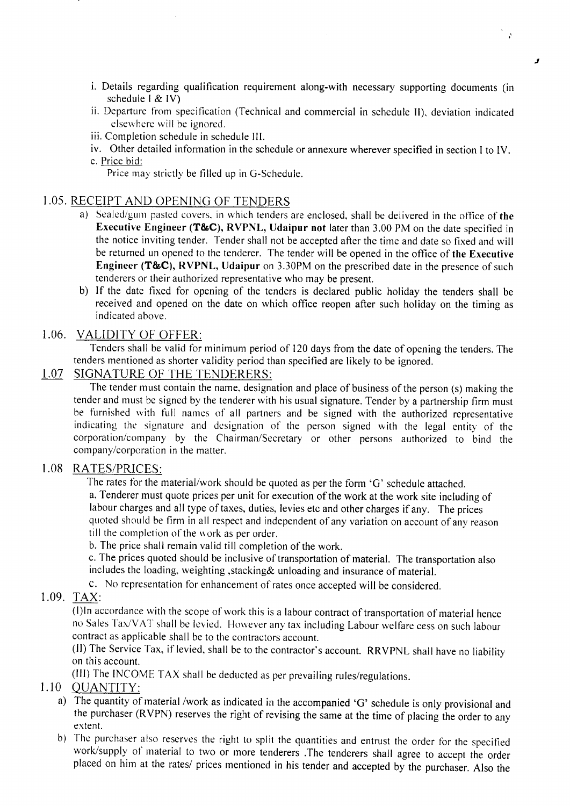i. Details regarding qualification requirement along-with necessary supporting documents (in schedule I & IV)

 $\mathcal{L}$ 

لا

- ii. Departure from specification (Technical and commercial in schedule II), deviation indicated elsewhere will be ignored.
- iii. Completion schedule in schedule III.
- iv. Other detailed information in the schedule or annexure wherever specified in section I to IV. c. Price bid:

Price may strictly be tilled up in G-Schedule.

# 1.05. RECEIPT AND OPENING OF TENDERS

- a) Sealed/gum pasted covers. in which tenders are enclosed, shall be delivered in the office of the Executive Engineer (T&C), RVPNL, Udaipur not later than 3.00 PM on the date specified in the notice inviting tender. Tender shall not be accepted after the time and date so fixed and will be returned un opened to the tenderer. The tender will be opened in the office of the Executive Engineer (T&C), RVPNL, Udaipur on 3.30PM on the prescribed date in the presence of such tenderers or their authorized representative who may be present.
- b) If the date fixed for opening of the tenders is declared public holiday the tenders shall be received and opened on the date on which office reopen after such holiday on the timing as indicated above.

## 1.06. VALIDITY OF OFFER:

Tenders shall be valid for minimum period of 120 days from the date of opening the tenders. The tenders mentioned as shorter validity period than specified are likely to be ignored.

# 1.07 SIGNATURE OF THE TENDERERS:

The tender must contain the name, designation and place of business of the person (s) making the tender and must be signed by the tenderer with his usual signature. Tender by a partnership firm must be furnished with full names of all partners and be signed with the authorized representative indicating the signature and designation of the person signed with the legal entity of the corporation/company by the Chairman/Secretary or other persons authorized to bind the company/corporation in the matter.

## 1.08 RATES/PRICES:

The rates for the material/work should be quoted as per the form 'G' schedule attached.

a. Tenderer must quote prices per unit for execution of the work at the work site including of labour charges and all type of taxes, duties, levies etc and other charges if any. The prices quoted should be firm in all respect and independent of any variation on account of any reason till the completion of the work as per order.

b. The price shall remain valid till completion of the work.

c. The prices quoted should be inclusive of transportation of material. The transportation also includes the loading. weighting ,stacking& unloading and insurance of material.

c. No representation for enhancement of rates once accepted will be considered.

# 1.09. TAX:

(I)ln accordance with the scope of work this is a labour contract of transportation of material hence no Sales Tax/VAT shall be levied. However any tax including Labour welfare cess on such labour contract as applicable shall be to the contractors account.

(II) The Service Tax, if levied, shall be to the contractor's account. RRVPNL shall have no liability on this account.

(III) The INCOME TAX shall be deducted as per prevailing rules/regulations.

## 1.10 QUANTITY:

- a) The quantity of material /work as indicated in the accompanied 'G' schedule is only provisional and the purchaser (RVPN) reserves the right of revising the same at the time of placing the order to any extent.
- b) The purchaser also reserves the right to split the quantities and entrust the order for the specified work/supply of material to two or more tenderers .The tenderers shall agree to accept the order placed on him at the rates/ prices mentioned in his tender and accepted by the purchaser. Also the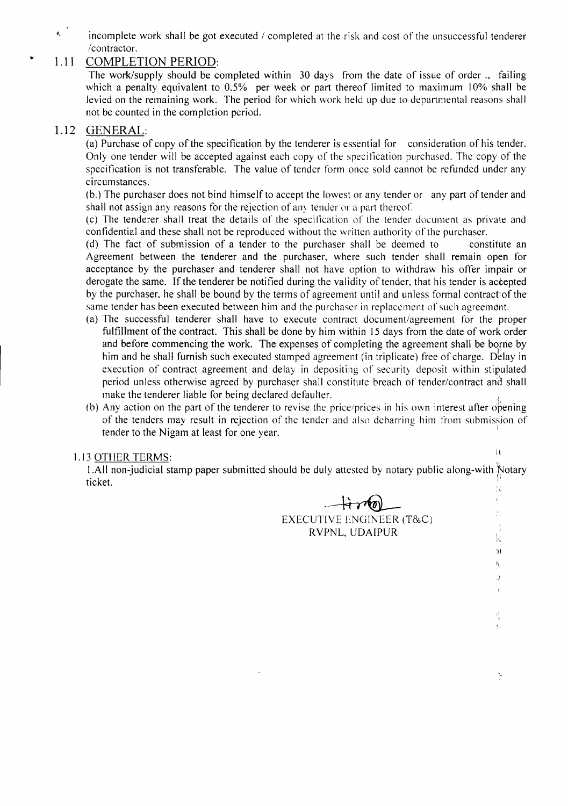$\tilde{\mathbf{r}}_i$ incomplete work shall be got executed / completed at the risk and cost of the unsuccessful tenderer /contractor.

# 1.11 COMPLETION PERIOD:

The work/supply should be completed within 30 days from the date of issue of order., failing which a penalty equivalent to 0.5% per week or part thereof limited to maximum 10% shall be levied on the remaining work. The period for which work held up due to departmental reasons shall not be counted in the completion period.

# 1.12 GENERAL:

(a) Purchase of copy of the specification by the tenderer is essential for consideration of his tender. Only one tender will be accepted against each copy of the spec ification purchased. The copy of the specification is not transferable. The value of tender form once sold cannot be refunded under any circumstances.

(b.) The purchaser does not bind himself to accept the lowest or any tender or any part of tender and shall not assign any reasons for the rejection of any tender or a part thereof.

(c) The tenderer shall treat the details of the specification of the tender document as private and confidential and these shall not be reproduced without the written authority of the purchaser.

(d) The fact of submission of a tender to the purchaser shall be deemed to constitute an Agreement between the tenderer and the purchaser, where such tender shall remain open for acceptance by the purchaser and tenderer shall not have option to withdraw his offer impair or derogate the same. If the tenderer be notified during the validity of tender, that his tender is accepted by the purchaser, he shall be bound by the terms of agreement until and unless formal contractiof the same tender has been executed between him and the purchaser in replacement of such agreement.

- (a) The successful tenderer shall have to execute contract document/agreement for the proper fulfillment of the contract. This shall be done by him within 15 days from the date of work order and before commencing the work. The expenses of completing the agreement shall be borne by him and he shall furnish such executed stamped agreement (in triplicate) free of charge. Delay in execution of contract agreement and delay in depositing of security deposit within stipulated period unless otherwise agreed by purchaser shall constitute breach of tender/contract and shall make the tenderer liable for being declared defaulter.
- (b) Any action on the part of the tenderer to revise the price/prices in his own interest after opening of the tenders may result in rejection of the tender and also debarring him from submission of tender to the Nigam at least for one year.

# 1.13 OTHER TERMS: U

1.All non-judicial stamp paper submitted should be duly attested by notary public along-with Notary ticket.  $\frac{1}{2}$ 

-~

EXECUTIVE ENCJINEER (T&C) RVPNL, UDAIPUR

 $+\tau$  10

)! I,.

Ď

 $\eta$ ķ,

ł.

ð í  $\mathbf{I}$ k

-,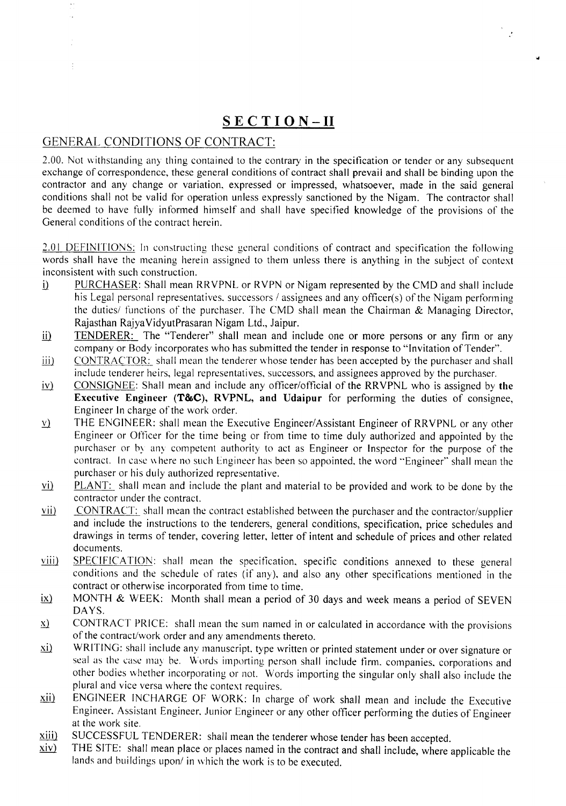# **SECTION-II**

 $\mathcal{L}$ 

# GENERAL CONDITIONS OF CONTRACT:

2.00. Not withstanding any thing contained to the contrary in the specification or tender or any subsequent exchange of correspondence, these general conditions of contract shall prevail and shall be binding upon the contractor and any change or variation, expressed or impressed, whatsoever, made in the said general conditions shall not be valid for operation unless expressly sanctioned by the Nigam. The contractor shall be deemed to have fully informed himself and shall have specified knowledge of the provisions of the General conditions of the contract herein.

2.01 DEFINITIONS: In constructing these general conditions of contract and specification the following words shall have the meaning herein assigned to them unless there is anything in the subject of context inconsistent with such construction.

- [i] PURCHASER: Shall mean RRVPNL or RVPN or Nigam represented by the CMD and shall include his Legal personal representatives. successors / assignees and any officer(s) of the Nigam performing the duties/ functions of the purchaser. The CMD shall mean the Chairman & Managing Director, Rajasthan RajyaVidyutPrasaran Nigam Ltd., Jaipur.
- ii) TENDERER: The "Tenderer" shall mean and include one or more persons or any firm or any company or Body incorporates who has submitted the tender in response to "Invitation of Tender".
- iii) CONTRACTOR: shall mean the tenderer whose tender has been accepted by the purchaser and shall include tenderer heirs, legal representatives, successors, and assignees approved by the purchaser.
- $iv)$  CONSIGNEE: Shall mean and include any officer/official of the RRVPNL who is assigned by the Executive Engineer (T&C), RVPNL, and Udaipur for performing the duties of consignee, Engineer In charge of the work order.
- $y$  THE ENGINEER: shall mean the Executive Engineer/Assistant Engineer of RRVPNL or any other Engineer or Officer for the time being or from time to time duly authorized and appointed by the purchaser or by any competent authority to act as Engineer or Inspector for the purpose of the contract. In case where no such Engineer has been so appointed. the word "Engineer" shall mean the purchaser or his duly authorized representative.
- $vi)$  PLANT: shall mean and include the plant and material to be provided and work to be done by the contractor under the contract.
- $vi$  CONTRACT: shall mean the contract established between the purchaser and the contractor/supplier</u> and include the instructions to the tenderers, general conditions, specification, price schedules and drawings in terms of tender, covering letter, letter of intent and schedule of prices and other related documents.
- viii) SPECIFICATION: shall mean the specification, specific conditions annexed to these general conditions and the schedule of rates (if any), and also any other specifications mentioned in the contract or otherwise incorporated from time to time.
- $ix$  MONTH & WEEK: Month shall mean a period of 30 days and week means a period of SEVEN DAYS.
- $\underline{x}$  CONTRACT PRICE: shall mean the sum named in or calculated in accordance with the provisions of the contract/work order and any amendments thereto.
- $\underline{x}i$  WRITING: shall include any manuscript. type written or printed statement under or over signature or seal as the case may be. Words importing person shall include firm. companies, corporations and other bodies whether incorporating or not. Words importing the singular only shall also include the plural and vice versa where the context requires.
- Xii) ENGINEER INCHARGE OF WORK: In charge of work shall mean and include the Executive Engineer. Assistant Engineer. Junior Engineer or any other officer performing the duties of Engineer at the work site.
- $\frac{x}{iii}$  SUCCESSFUL TENDERER: shall mean the tenderer whose tender has been accepted.<br> $\frac{x}{iv}$  THE SITE: shall mean place or places named in the contract and shall include where
- THE SITE: shall mean place or places named in the contract and shall include, where applicable the lands and buildings upon/ in which the work is to be executed.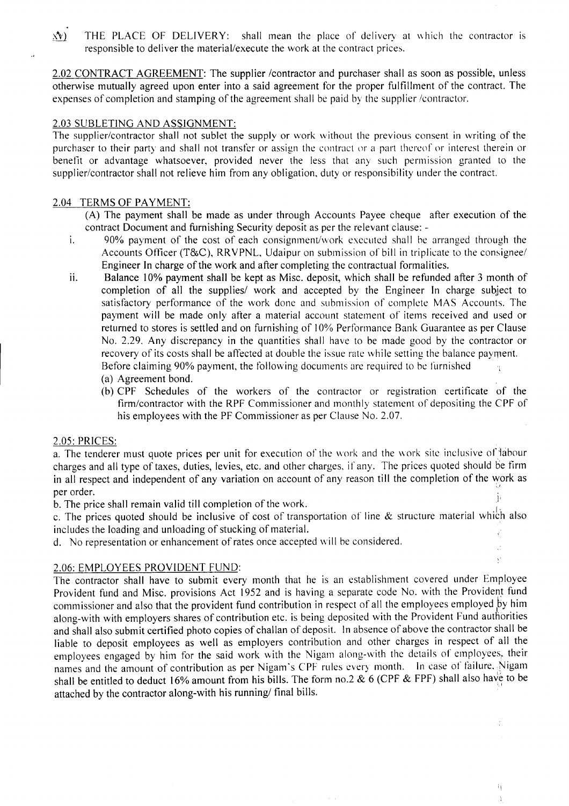$x(y)$  THE PLACE OF DELIVERY: shall mean the place of delivery at which the contractor is responsible to deliver the material/execute the work at the contract prices.

2.02 CONTRACT AGREEMENT: The supplier /contractor and purchaser shall as soon as possible, unless otherwise mutually agreed upon enter into a said agreement for the proper fulfillment of the contract. The expenses of completion and stamping of the agreement shall be paid by the supplier /contractor,

#### 2.03 SUBLETING AND ASSIGNMENT:

The supplier/contractor shall not sublet the supply or work without the previous consent in writing of the purchaser to their party and shall not transfer or assign the contract or a part thereof or interest therein or benefit or advantage whatsoever, provided never the less that any such permission granted to the supplier/contractor shall not relieve him from any obligation, duty or responsibility under the contract.

#### 2.04 TERMS OF PAYMENT:

*(A)* The payment shall be made as under through Accounts Payee cheque after execution of the contract Document and furnishing Security deposit as per the relevant clause: -

- i. 90% payment of the cost of each consignment/work executed shall be arranged through the Accounts Officer *(T&C),* RRVPNL, Udaipur on submission of bill in triplicate to the consignee/ Engineer In charge of the work and after completing the contractual formalities.
- ii. Balance 10% payment shall be kept as Misc. deposit, which shall be refunded after 3 month of completion of all the supplies/ work and accepted by the Engineer In charge subject to satisfactory performance of the work done and submission of complete MAS Accounts. The payment will be made only after a material account statement of items received and used or returned to stores is settled and on furnishing of 10% Performance Bank Guarantee as per Clause No. 2.29. Any discrepancy in the quantities shall have to be made good by the contractor or recovery of its costs shall be affected at double the issue rate while setting the balance payment. Before claiming 90% payment, the following documents are required to be furnished  $\frac{1}{2}$ 
	- (a) Agreement bond.
	- (b) CPF Schedules of the workers of the contractor or registration certificate of the firm/contractor with the RPF Commissioner and monthly statement of depositing the CPF of his employees with the PF Commissioner as per Clause No. 2.07.

 $\hat{\mathcal{L}}$ Ý

Ť)  $\mathbf{I}$ 

#### 2.05: PRICES:

a. The tenderer must quote prices per unit for execution of the work and the work site inclusive of labour charges and all type of taxes, duties, levies, etc. and other charges, if any. The prices quoted should be firm in all respect and independent of any variation on account of any reason till the completion of the work as per order.

b. The price shall remain valid till completion of the work.

c. The prices quoted should be inclusive of cost of transportation of line & structure material which also includes the loading and unloading of stucking of material.

d. No representation or enhancement of rates once accepted will be considered.

## 2.06: EMPLOYEES PROVIDENT FUND:

The contractor shall have to submit every month that he is an establishment covered under Employee Provident fund and Misc. provisions Act 1952 and is having a separate code No. with the Provident fund commissioner and also that the provident fund contribution in respect of all the employees employed by him along-with with employers shares of contribution etc. is being deposited with the Provident Fund authorities and shall also submit certified photo copies of challan of deposit. In absence of above the contractor shall be liable to deposit employees as well as employers contribution and other charges in respect of all the employees engaged by him for the said work with the Nigam along-with the details of employees, their names and the amount of contribution as per Nigam's CPF rules every month. In case of failure, Nigam shall be entitled to deduct 16% amount from his bills. The form no.2  $\&$  6 (CPF  $\&$  FPF) shall also have to be attached by the contractor along-with his running/ final bills. .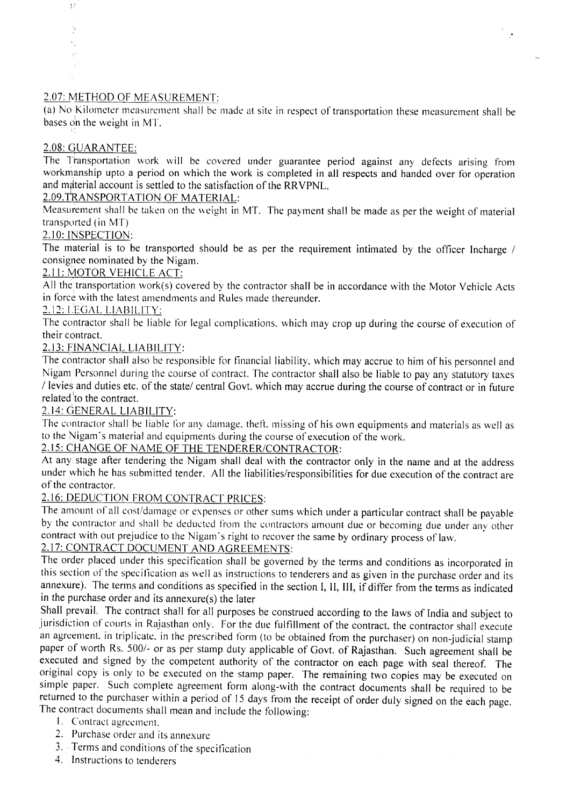# 2.07: METHOD OF MEASUREMENT:

(a) No Kilometer measurement shall be made at site in respect of transportation these measurement shall be bases on the weight in MT.

# 2.08: GUARANTEE:

 $\left| \cdot \right|$ 

×j

The Transportation work will be covered under guarantee period against any defects arising from workmanship upto a period on which the work is completed in all respects and handed over for operation and material account is settled to the satisfaction of the RRVPNL.

# 2.09.TRANSPORTATION OF MATERIAL:

Measurement shall be taken on the weight in MT. The payment shall be made as per the weight of material transported (in  $MT$ )

## 2.10: INSPECTION:

The material is to be transported should be as per the requirement intimated by the officer Incharge / consignee nominated by the Nigam.

## 2.11: MOTOR VEHICLE ACT:

All the transportation work(s) covered by the contractor shall be in accordance with the Motor Vehicle Acts in force with the latest amendments and Rules made thereunder.

## 2.12: LEGAL LIABILITY:

The contractor shall be liable for legal complications, which may crop up during the course of execution of their contract.

# 2.13: FINANCIAL LIABILITY:

The contractor shall also be responsible for financial liability, which may accrue to him of his personnel and Nigam Personnel during the course of contract. The contractor shall also be liable to pay any statutory taxes / levies and duties etc. of the state/ central Govt. which may accrue during the course of contract or in future related to the contract.

# 2.14: GENERAL LIABILITY:

The contractor shall be Iiable for any damage, theft. missing of his own equipments and materials as well as to the Nigam's material and equipments during the course of execution of the work.

# 2.15: CHANGE OF NAME OF THE TENDERER/CONTRACTOR:

At any stage after tendering the Nigam shall deal with the contractor only in the name and at the address under which he has submitted tender. All the liabilities/responsibilities for due execution of the contract are of the contractor.

# 2.16: DEDUCTION FROM CONTRACT PRICES:

The amount of all cost/damage or expenses or other sums which under a particular contract shall be payable by the contractor and shall be deducted from the contractors amount due or becoming due under any other contract with out prejudice to the Nigam's right to recover the same by ordinary process of law.

# 2.17: CONTRACT DOCUMENT AND AGREEMENTS:

The order placed under this specification shall be governed by the terms and conditions as incorporated in this section of the specification as well as instructions to tenderers and as given in the purchase order and its annexure). The terms and conditions as specified in the section **I, II, III,** if differ from the terms as indicated in the purchase order and its annexure(s) the later

Shall prevail. The contract shall for all purposes be construed according to the laws of India and subject to jurisdiction of courts in Rajasthan only. For the due fulfillment of the contract, the contractor shall execute an agreement. in triplicate, in the prescribed form (to be obtained from the purchaser) on non-judicial stamp paper of worth Rs. 500/- or as per stamp duty applicable of Govt. of Rajasthan. Such agreement shall be executed and signed by the competent authority of the contractor on each page with seal thereof. The original copy is only to be executed on the stamp paper. The remaining two copies may be executed on simple paper. Such complete agreement form along-with the contract documents shall be required to be returned to the purchaser within a period of 15 days from the receipt of order duly signed on the each page. The contract documents shall mean and include the following:

- I. Contract agreement.
- 2. Purchase order and its annexure
- 3.. Terms and conditions of the specification
- 4. Instructions to tenderers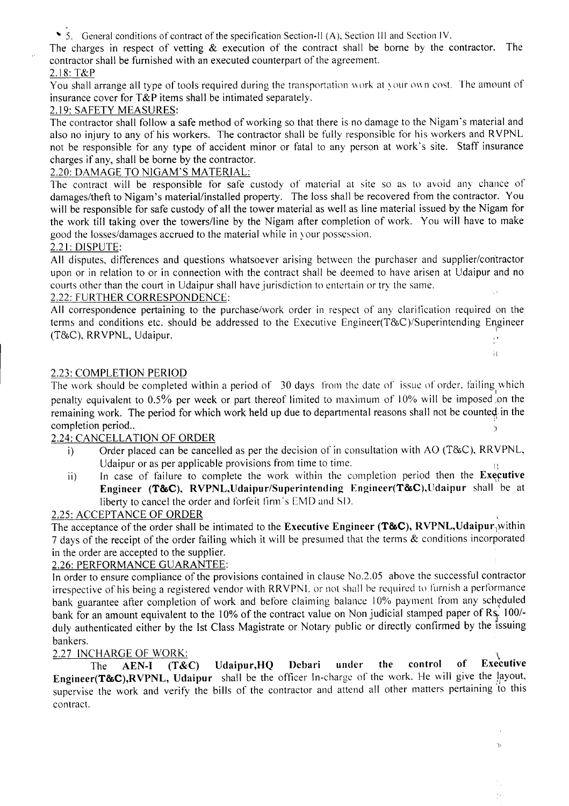'5. General conditions of contract of the specification Section-II (A), Section III and Section IV.

The charges in respect of vetting  $\&$  execution of the contract shall be borne by the contractor. The contractor shall be furnished with an executed counterpart of the agreement.

## 2.18:T&P

You shall arrange all type of tools required during the transportation work at your own cost. The amount of insurance cover for T&P items shall be intimated separately.

## 2.19: SAFETY MEASURES:

The contractor shall follow a safe method of working so that there is no damage to the Nigam's material and also no injury to any of his workers. The contractor shall be fully responsible for his workers and RVPNL not be responsible for any type of accident minor or fatal to any person at work's site. Staff insurance charges if any, shall be borne by the contractor.

## 2.20: DAMAGE TO NIGAM'S MATERIAL:

The contract will be responsible for safe custody of material at site so as to avoid any chance of damages/theft to Nigam's material/installed property. The loss shall be recovered from the contractor. You will be responsible for safe custody of all the tower material as well as line material issued by the Nigam for the work till taking over the towerslline by the Nigam after completion of work. You will have to make good the losses/damages accrued to the material while in your possession.

## 2.21: DISPUTE:

All disputes, differences and questions whatsoever arising between the purchaser and supplier/contractor upon or in relation to or in connection with the contract shall be deemed to have arisen at Udaipur and no courts other than the court in Udaipur shall have jurisdiction to entertain or try the same.

## 2.22: FURTHER CORRESPONDENCE:

All correspondence pertaining to the purchase/work order in respect of any clarification required on the terms and conditions etc. should be addressed to the Executive Engineer(T&C)/Superintending Engineer  $(T&C)$ , RRVPNL, Udaipur.

 $\mathbf{R}$ 

 $\mathcal{C}$ 

## 2.23: COMPLETION PERIOD

The work should be completed within a period of 30 days from the date of issue of order, failing which penalty equivalent to 0.5% per week or part thereof limited to maximum of 10% will be imposed .on the remaining work. The period for which work held up due to departmental reasons shall not be counted in the completion period..

## 2.24: CANCELLATION OF ORDER

- i) Order placed can be cancelled as per the decision of in consultation with AO (T&C), RRVPNL, Udaipur or as per applicable provisions from time to time.
- In case of failure to complete the work within the completion period then the Executive Engineer (T&C), RVPNL,Udaipur/Superintending Engineer(T&C),Udaipur shall be at liberty to cancel the order and forfeit firm's EMD and SD. ii)

## 2.25: ACCEPTANCE OF ORDER

 $\ddot{\zeta}$ The acceptance of the order shall be intimated to the Executive Engineer (T&C), RVPNL,Udaipur<sub>1</sub> $\mu$ <sup>1</sup> 7 days of the receipt of the order failing which it will be presumed that the terms & conditions incorporated in the order are accepted to the supplier.

## 2.26: PERFORMANCE GUARANTEE:

In order to ensure compliance of the provisions contained in clause No.2.05 above the successful contractor irrespective of his being a registered vendor with RRVPNL or not shall be required to furnish a performance bank guarantee after completion of work and before claiming balance 10% payment from any scheduled bank for an amount equivalent to the 10% of the contract value on Non judicial stamped paper of Rs. 100/duly authenticated either by the 1st Class Magistrate or Notary public or directly confirmed by the issuing bankers.

 $\frac{2.27 \text{ INCHARGE OF WORK:}}{\text{The AEN-I} \quad (\text{T&C})}$  Udaipur.HO Debari under the control of Executive The  $AEN-I$  (T&C) Udaipur, HQ Debari Engineer(T&C),RVPNL, Udaipur shall be the officer In-charge of the work. He will give the layout, supervise the work and verify the bills of the contractor and attend all other matters pertaining *'fo* this contract.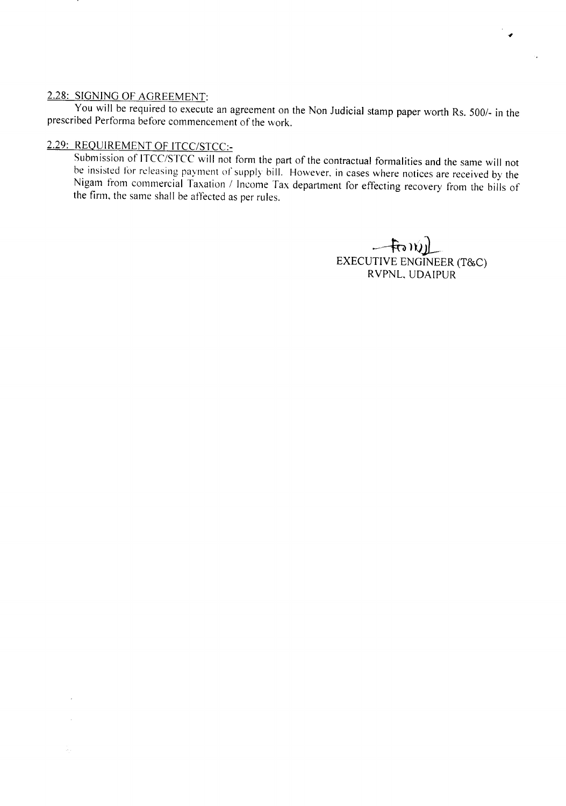#### 2.28: SIGNING OF AGREEMENT:

 $\bar{\bar{z}}$ 

You will be required to execute an agreement on the Non Judicial stamp paper worth Rs. *5001-* in the prescribed Performa before commencement of the work.

# 2.29: REQUIREMENT OF *ITCC/STCC:-*

Submission of *ITCC/STCC* will not form the part of the contractual formalities and the same will not be insisted for releasing payment of supply bill. However. in cases where notices are received by the Nigam from commercial Taxation *1* Income Tax department for effecting recovery from the bills of the firm, the same shall be affected as per rules.

> $-$ fo $w$ j) EXECUTIVE ENGINEER (T&C) RVPNL, UDAIPUR

 $\bullet$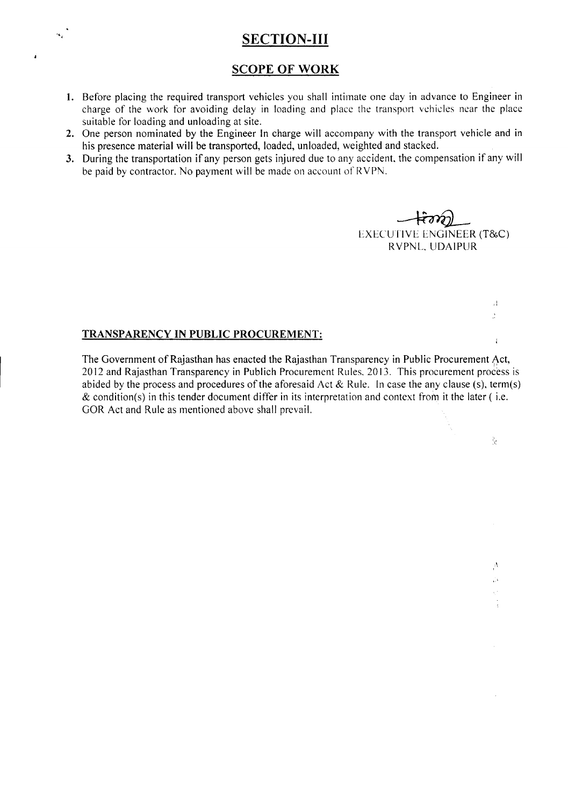# **SECTION-III**

# SCOPE **OF WORK**

- 1. Before placing the required transport vehicles you shall intimate one day in advance to Engineer in charge of the work for avoiding delay in loading and place the transport vehicles near the place suitable for loading and unloading at site.
- 2. One person nominated by the Engineer In charge will accompany with the transport vehicle and in his presence material will be transported, loaded, unloaded, weighted and stacked.
- 3. During the transportation if any person gets injured due to any accident, the compensation if any will be paid by contractor. No payment will be made on account of RVPN.

 $+\bar{\epsilon}\gamma\gamma$ EXECUTIVE ENGINEER *(T&C)* RVPNL. UDAIPUR

> $\mathcal{A}$ à,

> > $\hat{\epsilon}$

Ř.

 $\Lambda$ ΰ¥.  $\bar{\psi}$ 

#### TRANSPARENCY IN PUBLIC PROCUREMENT:

 $\mathcal{A}_\alpha$ 

ï

The Government of Rajasthan has enacted the Rajasthan Transparency in Public Procurement Act, 2012 and Rajasthan Transparency in Publich Procurement Rules. 2013. This procurement process is abided by the process and procedures of the aforesaid Act & Rule. In case the any clause (s), term(s)  $\&$  condition(s) in this tender document differ in its interpretation and context from it the later (i.e. GOR Act and Rule as mentioned above shall prevail.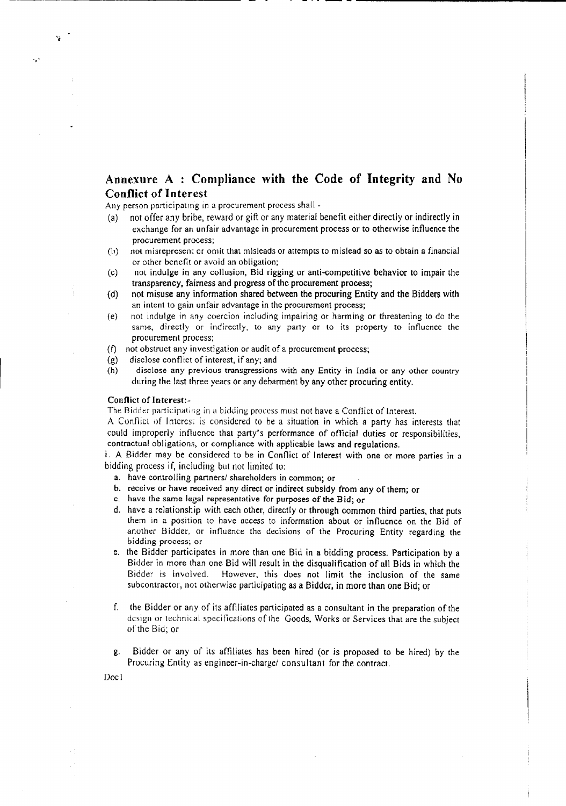# Annexure A : Compliance with the Code of Integrity and No Conflict of Interest

- . - --- ---------------------

Any person participating in a procurement process shall -

- (a) not offer any bribe, reward or gift or any material benefit either directly or indirectly in exchange for an unfair advantage in procurement process or to otherwise influence the procurement process;
- (b) not misrepresent or omit that misleads or attempts to mislead so as to obtain a financial or other benefit or avoid an obligation;
- (c) not indulge in any collusion, Bid rigging or anti-competltive behavior to impair the transparency, fairness and progress of the procurement process;
- (d) not misuse any information shared between the procuring Entity and the Bidders with an intent to gain unfair advantage in the procurement process;
- (e) not indulge in any coercion including impairing or harming or threatening to do the same, directly or indirectly, to any party or to its property to influence the procurement process;
- (f) not obstruct any investigation or audit of a procurement process;
- (g) disclose conflict of interest, if any; and
- (h) disclose any previous transgressions with any Entity in India or any other country during the last three years Or any debarment by any other procuring entity.

#### Conflict of Interest:-

"

 $\ddot{\phantom{a}}$ 

The Bidder participating in a bidding process must not have a Conflict of Interest.

A Conflict of Interest is considered to be a situation in which a party has interests that could improperly influence that party's performance of offlcial duties or responsibilities, contractual obligations, or compliance with applicable laws and regulations.

i. A Bidder may be considered to be in Conflict of Interest with one or more parties in a bidding process if, including but not limited to:

- a. have controlling partners/ shareholders in common; or
- b. receive or have received any direct or indirect subsidy from any of them; or
- c. have the same legal representative for purposes of the Bid; or
- d. have a relationship with each other, directly or through common third parties. that puts them in a position to have access to information about or influence on the Bid of another Bidder, or influence the decisions of the Procuring Entity regarding the bidding process; or
- e. the Bidder participates in more than one Bid in a bidding process. Participation by a Bidder in more than one Bid will result in the disqualification of all Bids in which the Bidder is involved. However, this does not limit the inclusion of the same subcontractor, not otherwise participating as a Bidder, in more than one Bid; or
- f. the Bidder or any of its affiliates participated as a consultant in the preparation of the design or technical specifications of the Goods, Works or Services that are the subject of the Bid; or
- g. Bidder or any of its affiliates has been hired (or is proposed to be hired) by the Procuring Entity as engineer-in-charge/ consultant for the contract.

Doc I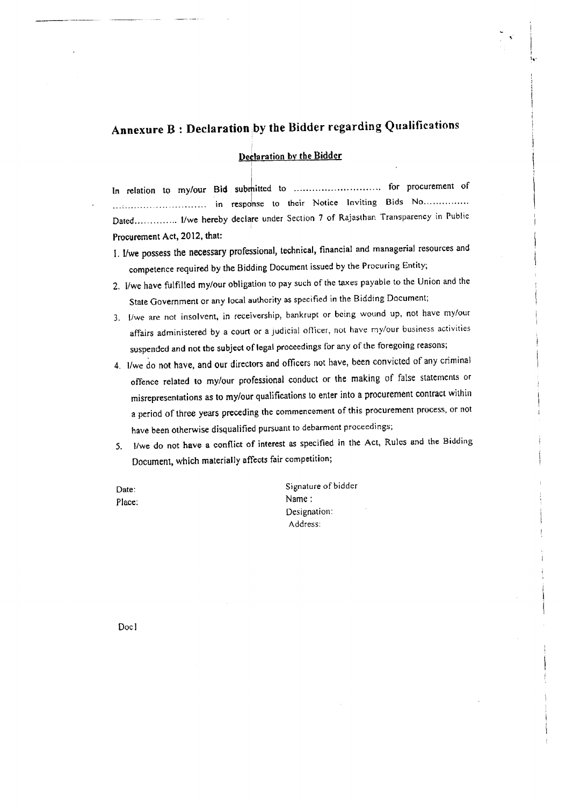# Annexure  $B$  : Declaration by the Bidder regarding Qualifications

#### Deelaration by the Bidder

i

In relation to my/our Bid submitted to ............................. for procurement of in response to their Notice Inviting Bids No.............. Dated.............. I/we hereby declare under Section 7 of Rajasthan Transparency in Public Procurement Act, 2012, that:

- *1.* I/we possess the necessary professional, technical, financial and managerial resources and competence required by the Bidding Document issued by the Procuring Entity;
- *2.* l/we have fulfilled my/our obligation to pay such of the taxes payable to the Union and the State Government or any local authority as specified in the Bidding Document;
- *3. I/we* are not insolvent, in receivership, bankrupt or being wound up, not have my/our affairs administered by a court or a Judicial officer, not have my/our business activities suspended and not the subject of legal proceedings for any of the foregoing reasons;
- 4. I/we do not have, and our directors and officers not have, been convicted of any criminal offence related to my/our professional conduct or the making of false statements or misrepresentations as to my/our qualifications to enter into a procurement contract within a period of three years preceding the commencement of this procurement process, or not have been otherwise disqualified pursuant to debarment proceedings;
- 5. lIwe do not have a conflict of interest as specified in the Act, Rules and the Bidding Document, which materially affects fair competition;
- Date: Place:

Signature of bidder Name: Designation: Address: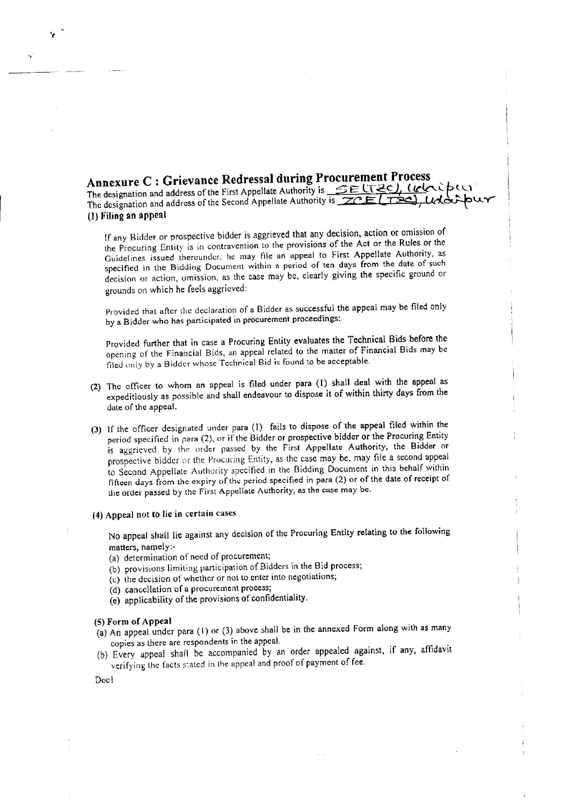**Annexure** C : **Grievance Redressal during Procurement Process** The designation and address of the First Appellate Authority is **SELT2C, LICK** COLI<br>The designation and address of the Second Appellate Authority is **ZCELT20, Udo-**The designation and address of the Second Appellate Authority is  $ZCE$  (TSe) (1) Filing an appeal *I*

If any Bidder or prospective bidder is aggrieved that any decision, action or omission of the Procuring Entity is in contravention to the provisions of the Act or the Rules or the Guidelines issued thereunder, he may file an appeal to First Appellate Authority, as specified in the Bidding Document within a period of ten days from the date of such decision or action, omission, as the case may be, clearly giving the specific ground or grounds on which he feels aggrieved:

Provided that after the declaration of a Bidder as successful the appeal may be tiled only by a Bidder who has participated in procurement proceedings:

Provided further that in case a Procuring Entity evaluates the Technical Bids before the opening of the Financial Bids, an appeal related to the matter of Financial Bids may be tiled only by a Bidder whose Technical Bid is found to be acceptable.

- (2) The officer to whom an appeal is filed under para (I) shall deal with the appeal as expeditiously as possible and shall endeavour to dispose it of within thirty days from the date of the appeal.
- (3) If the officer designated under para (1) fails to dispose of the appeal filed within the period specified in para (2). or if the Bidder or prospective bidder or the Procuring Entity is aggrieved by the order passed by the First Appellate Authority, the Bidder or prospective bidder or the Procuring Entity, as the case may be, may file a second appeal to Second Appellate Authority specified in the Bidding Document in this behalf within fifteen days from the expiry of the period specified in para (2) or of the date of receipt of the order passed by the First Appellate Authority, as the case may be.

#### (4) Appeal not to lie in certain cases

No appeal shall lie against any decision of the Procuring Entity relating to the following matters, namely:-

- (a) determination of need of procurement;
- (b) provisions limiting participation of Bidders in the Bid process;
- (c) the decision of whether or not to enter into negotiations;
- (d) cancellation of a procurement process;
- (e) applicability of the provisions of confidentiality.

#### (5)Form of Appeal

- (a) An appeal under para (I) or (3) above shall be in the annexed Form along with as many copies as there are respondents in the appeal.
- (b) Every appeal shall be accompanied by an order appealed against, if any, affidavit verifying the facts stated in the appeal and proof of payment of fee.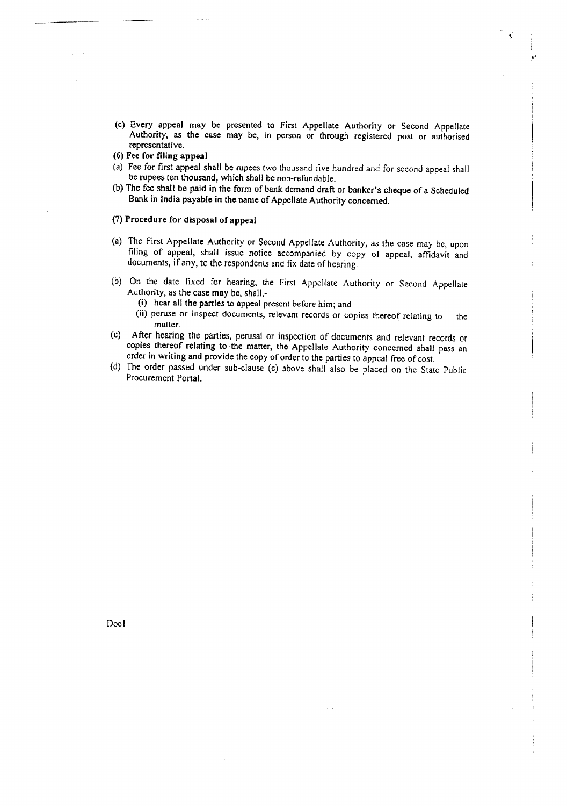- (c) Every appeal may be presented to First Appellate Authority or Second Appellate Authority, as the case may be, in person or through registered post or authorised representative.
- (6) Fee for filing appeal
- (a) Fee for first appeal shall be rupees two thousand five hundred and for second 'appeal shall be rupees ten thousand, which shall be non-refundable.
- (b) The fee shall be paid in the form of bank demand draft or banker's cheque of a Scheduled Bank in India payable in the name of Appellate Authority concerned.

#### (7)Procedure for disposal of appeal

- (a) The First Appellate Authority or Second Appellate Authority, as the case may be, upon filing of appeal, shall issue notice accompanied by copy of appeal, affidavit and documents, if any, to the respondents and fix date of hearing.
- (b) On the date fixed for hearing, the First Appellate Authority or Second Appellate Authority, as the case may be, shall.-
	- (i) hear all the parties to appeal present before him; and
	- (ii) peruse or inspect documents, relevant records or copies thereof relating to the matter.
- (c) After hearing the parties. perusal or inspection of documents and relevant records or copies thereof relating to the matter, the Appellate Authority concerned shall pass an order in writing and provide the copy of order to the parties to appeal free of cost.
- *(d)* The order passed under sub-clause (c) above shall also be placed on the State Public Procurement Portal.

Doc I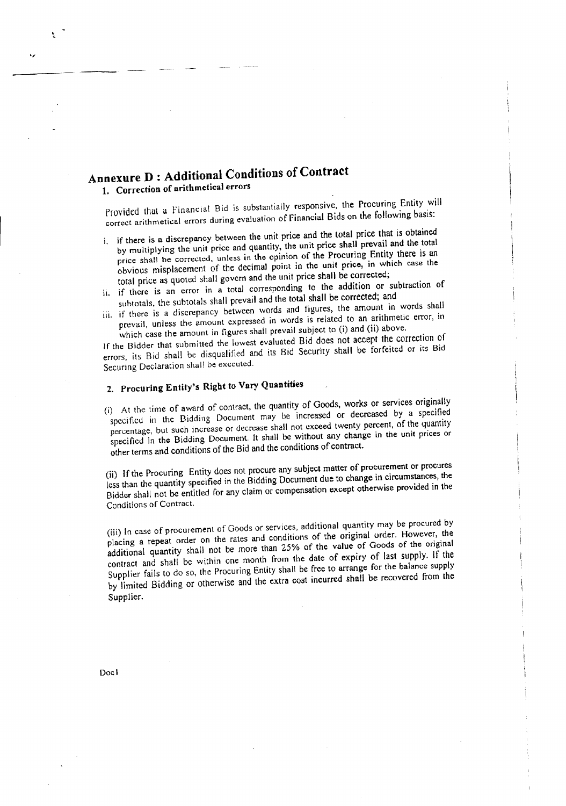# Annexure D : Additional Conditions of Contract

# 1. Correction of arithmetical errors

Provided that a Financial Bid is substantially responsive, the Procuring Entity will correct arithmetical errors during evaluation of Financial Bids on the following basis:

- i. if there is a discrepancy between the unit price and the total price that is obtained by multiplying the unit price and quantity, the unit price shall prevail and the total price shall be corrected, unless in the opinion of the Procuring Entity there is an obvious misplacement of the decimal point in the unit price, in which case the total price as quoted shall govern and the unit price shall be corrected;
- ii. if there is an error in a total corresponding to the addition or subtraction of suhtotals, the subtotals shall prevail and the total shall be corrected; and
- iii. if there is a discrepancy between words and figures, the amount in words shall prevail. unless the amount expressed in words is related to an arithmetic error, in which case the amount in figures shall prevail subject to (i) and (ii) above.

If the Bidder that submitted the lowest evaluated Bid does not accept the correction of errors, its Rid shall be disqualified and its Bid Security shall be forfeited or its Bid Securing Declaration shall be executed.

# 2. Procuring Entity's Right to Vary Quantities

(i) At the time of award of contract, the quantity of Goods, works or services originally specified in the Bidding Document may be increased or decreased by a specified percentage, but such increase or decrease shall not exceed twenty percent. of the quantity specified in the Bidding Document. It shall be without any change in the unit prices or other terms and conditions of the Bid and the conditions of contract.

(ii) if the Procuring Entity does not procure any subject matter of procurement or procures less than the quantity specified in the Bidding Document due to change in circumstances, the Bidder shall not be entitled for any claim or compensation except otherwise provided in the Conditions of Contract.

(iii) In case of procurement of Goods or services, additional quantity may be procured by placing a repeat order on the rates and conditions of the original order. However, the additional quantity shall not be more than 25% of the value of Goods of the original contract and shall be within one month from the date of expiry of last supply. If the Supplier fails to do so, the Procuring Entity shall be free to arrange for the balance supply by limited Bidding or otherwise and the extra cost incurred shall be recovered from the Supplier.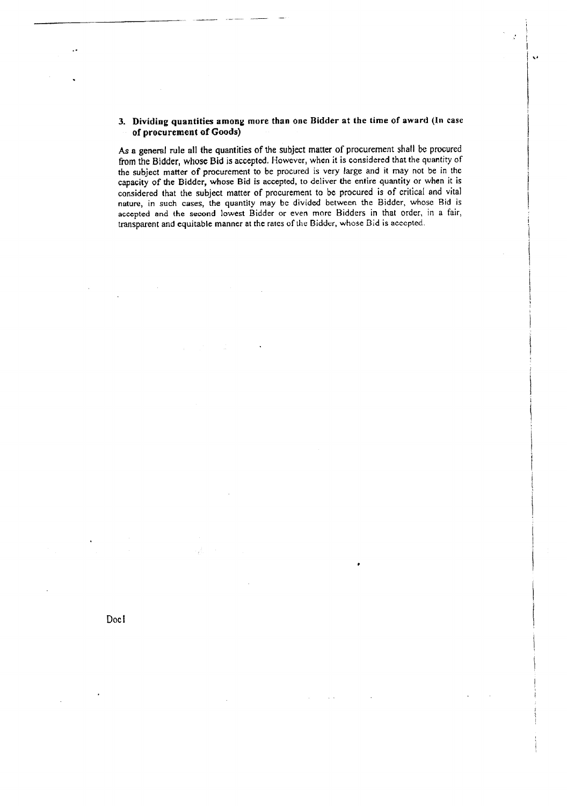#### 3. Dividing quantities among more than one Bidder at the time of award (In case of procurement of Goods)

 $\mathbf{v}$ 

As a general rule all the quantities of the subject matter of procurement shall be procured from the Bidder, whose Bid is accepted, However, when it is considered that the quantity of the subject matter of procurement to be procured is very large and it may not be in the capacity of the Bidder, whose Bid is accepted. to deliver the entire quantity or when it is considered that the subject matter of procurement to be procured is of critical and vital nature, in such cases, the quantity may be divided between the Bidder, whose Bid is accepted and the second lowest Bidder or even more Bidders in that order, in a fair, transparent and equitable manner at the rates of the Bidder, whose Bid is accepted.